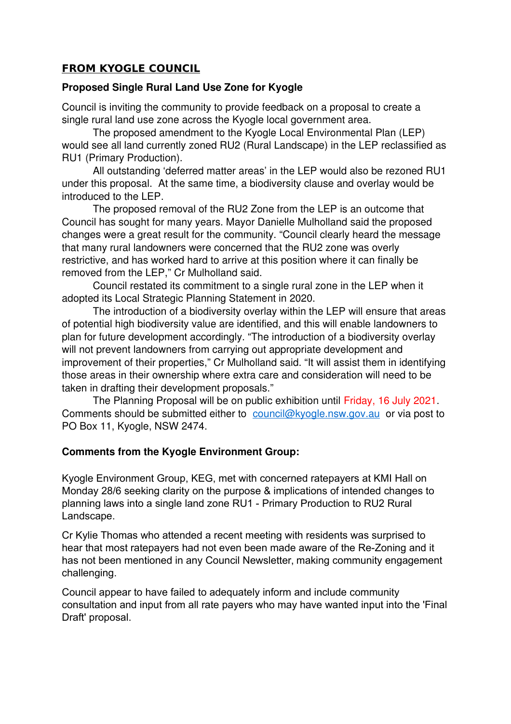## **FROM KYOGLE COUNCIL**

## **Proposed Single Rural Land Use Zone for Kyogle**

Council is inviting the community to provide feedback on a proposal to create a single rural land use zone across the Kyogle local government area.

The proposed amendment to the Kyogle Local Environmental Plan (LEP) would see all land currently zoned RU2 (Rural Landscape) in the LEP reclassified as RU1 (Primary Production).

All outstanding 'deferred matter areas' in the LEP would also be rezoned RU1 under this proposal. At the same time, a biodiversity clause and overlay would be introduced to the LEP.

The proposed removal of the RU2 Zone from the LEP is an outcome that Council has sought for many years. Mayor Danielle Mulholland said the proposed changes were a great result for the community. "Council clearly heard the message that many rural landowners were concerned that the RU2 zone was overly restrictive, and has worked hard to arrive at this position where it can finally be removed from the LEP," Cr Mulholland said.

Council restated its commitment to a single rural zone in the LEP when it adopted its Local Strategic Planning Statement in 2020.

The introduction of a biodiversity overlay within the LEP will ensure that areas of potential high biodiversity value are identified, and this will enable landowners to plan for future development accordingly. "The introduction of a biodiversity overlay will not prevent landowners from carrying out appropriate development and improvement of their properties," Cr Mulholland said. "It will assist them in identifying those areas in their ownership where extra care and consideration will need to be taken in drafting their development proposals."

The Planning Proposal will be on public exhibition until Friday, 16 July 2021. Comments should be submitted either to [council@kyogle.nsw.gov.au](mailto:council@kyogle.nsw.gov.au) or via post to PO Box 11, Kyogle, NSW 2474.

## **Comments from the Kyogle Environment Group:**

Kyogle Environment Group, KEG, met with concerned ratepayers at KMI Hall on Monday 28/6 seeking clarity on the purpose & implications of intended changes to planning laws into a single land zone RU1 - Primary Production to RU2 Rural Landscape.

Cr Kylie Thomas who attended a recent meeting with residents was surprised to hear that most ratepayers had not even been made aware of the Re-Zoning and it has not been mentioned in any Council Newsletter, making community engagement challenging.

Council appear to have failed to adequately inform and include community consultation and input from all rate payers who may have wanted input into the 'Final Draft' proposal.